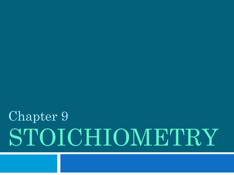# STOICHIOMETRY Chapter 9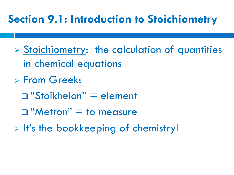#### **Section 9.1: Introduction to Stoichiometry**

- Stoichiometry: the calculation of quantities in chemical equations
- From Greek:
	- "Stoikheion" = element
	- $\Box$  "Metron" = to measure
- $\triangleright$  It's the bookkeeping of chemistry!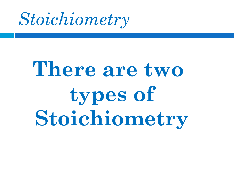

# **There are two types of Stoichiometry**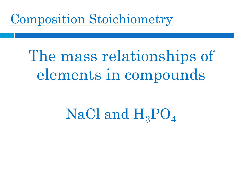#### Composition Stoichiometry

# The mass relationships of elements in compounds

# NaCl and  $H_3PO_4$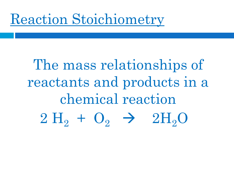#### Reaction Stoichiometry

# The mass relationships of reactants and products in a chemical reaction  $2H_2 + O_2 \rightarrow 2H_2O$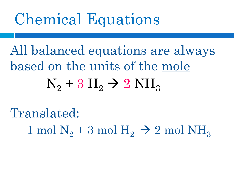# Chemical Equations

All balanced equations are always based on the units of the mole  $N_2 + 3 H_2 \rightarrow 2 NH_3$ 

Translated: 1 mol  $N_2 + 3$  mol  $H_2 \rightarrow 2$  mol  $NH_3$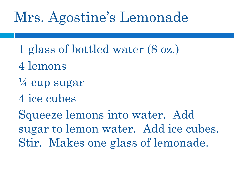- 1 glass of bottled water (8 oz.)
- 4 lemons
- ¼ cup sugar
- 4 ice cubes

Squeeze lemons into water. Add sugar to lemon water. Add ice cubes. Stir. Makes one glass of lemonade.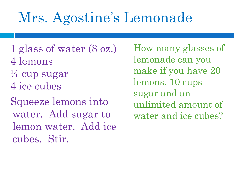- 1 glass of water (8 oz.) 4 lemons  $\frac{1}{4}$  cup sugar 4 ice cubes
- Squeeze lemons into water. Add sugar to lemon water. Add ice cubes. Stir.

How many glasses of lemonade can you make if you have 20 lemons, 10 cups sugar and an unlimited amount of water and ice cubes?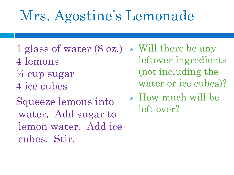- 1 glass of water (8 oz.) 4 lemons  $\frac{1}{4}$  cup sugar 4 ice cubes
- Squeeze lemons into water. Add sugar to lemon water. Add ice cubes. Stir.
- $\triangleright$  Will there be any leftover ingredients (not including the water or ice cubes)?
- How much will be left over?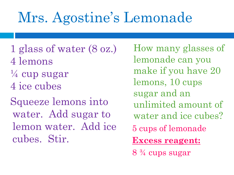- 1 glass of water (8 oz.) 4 lemons  $\frac{1}{4}$  cup sugar 4 ice cubes
- Squeeze lemons into water. Add sugar to lemon water. Add ice cubes. Stir.

How many glasses of lemonade can you make if you have 20 lemons, 10 cups sugar and an unlimited amount of water and ice cubes? 5 cups of lemonade **Excess reagent:**

8 ¾ cups sugar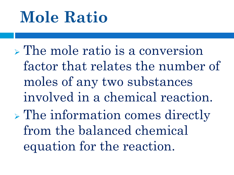# **Mole Ratio**

 $\triangleright$  The mole ratio is a conversion factor that relates the number of moles of any two substances involved in a chemical reaction.  $\triangleright$  The information comes directly from the balanced chemical equation for the reaction.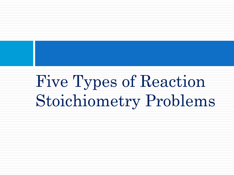Five Types of Reaction Stoichiometry Problems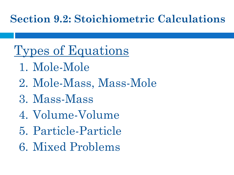#### **Section 9.2: Stoichiometric Calculations**

#### Types of Equations

- 1. Mole-Mole
- 2. Mole-Mass, Mass-Mole
- 3. Mass-Mass
- 4. Volume-Volume
- 5. Particle-Particle
- 6. Mixed Problems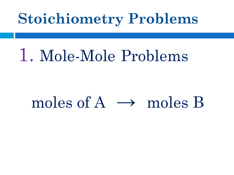# 1. Mole-Mole Problems

#### moles of  $A \rightarrow$  moles B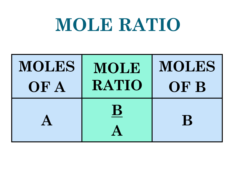# **MOLE RATIO**

| <b>MOLES</b> | MOLE    | MOLES |
|--------------|---------|-------|
| OF A         | RATIO   | OF B  |
|              | $\bf B$ | B     |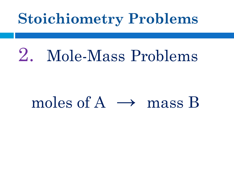# 2. Mole-Mass Problems

#### moles of  $A \rightarrow$  mass B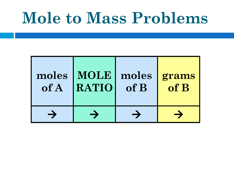# **Mole to Mass Problems**

| of A | moles   MOLE<br>RATIO | of B | moles grams<br>of B |
|------|-----------------------|------|---------------------|
|      |                       |      |                     |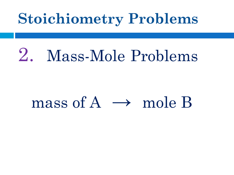# 2. Mass-Mole Problems

#### mass of  $A \rightarrow$  mole B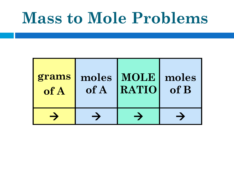# **Mass to Mole Problems**

| grams | of A | moles   MOLE | moles |
|-------|------|--------------|-------|
| of A  |      | <b>RATIO</b> | of B  |
|       |      |              |       |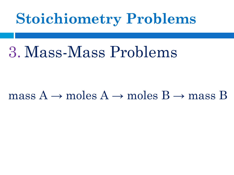## 3. Mass-Mass Problems

#### mass  $A \rightarrow$  moles  $A \rightarrow$  moles  $B \rightarrow$  mass B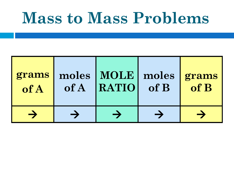# **Mass to Mass Problems**

| grams<br>of A | of A | moles   MOLE   moles   grams<br><b>RATIO</b> | of B | $\overline{\phantom{a}}$ of B |
|---------------|------|----------------------------------------------|------|-------------------------------|
|               |      |                                              |      |                               |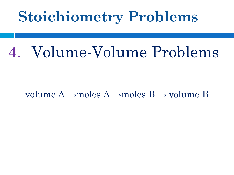# 4. Volume-Volume Problems

#### volume  $A \rightarrow$ moles  $A \rightarrow$ moles  $B \rightarrow$ volume B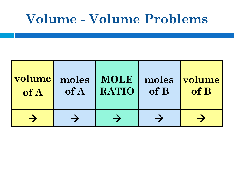#### **Volume - Volume Problems**

| volume | moles | MOLE  | of B | moles volume |
|--------|-------|-------|------|--------------|
| of A   | of A  | RATIO |      | of B         |
|        |       |       |      |              |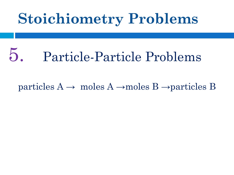# 5. Particle-Particle Problems

particles  $A \rightarrow$  moles  $A \rightarrow$ moles  $B \rightarrow$ particles B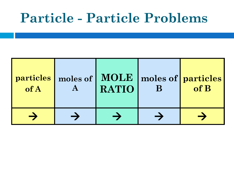#### **Particle - Particle Problems**

| <b>particles</b><br>of A | RATIO | B | moles of   MOLE   moles of   particles  <br>of B |
|--------------------------|-------|---|--------------------------------------------------|
|                          |       |   |                                                  |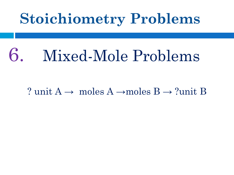# 6. Mixed-Mole Problems

? unit  $A \rightarrow$  moles  $A \rightarrow$ moles  $B \rightarrow$ ?unit B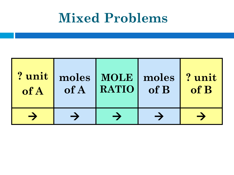#### **Mixed Problems**

| ? unit<br>of A | of A | moles   MOLE   moles   ? unit<br>RATIO | of B | $\bf{of }$ $\bf{B}$ |
|----------------|------|----------------------------------------|------|---------------------|
|                |      |                                        |      |                     |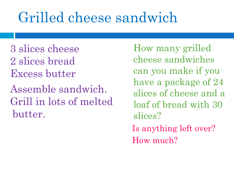## Grilled cheese sandwich

3 slices cheese 2 slices bread Excess butter

Assemble sandwich. Grill in lots of melted butter.

How many grilled cheese sandwiches can you make if you have a package of 24 slices of cheese and a loaf of bread with 30 slices? Is anything left over?

How much?